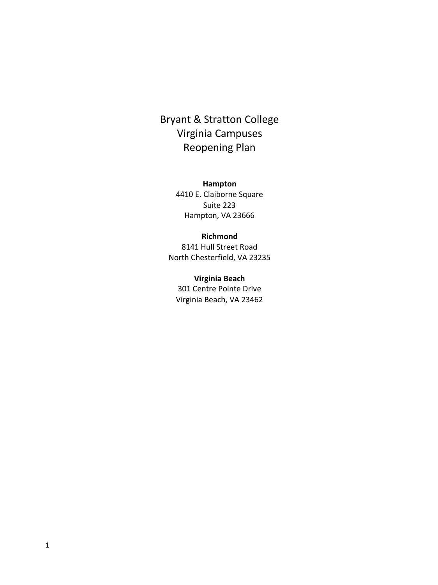# Bryant & Stratton College Virginia Campuses Reopening Plan

**Hampton** 4410 E. Claiborne Square Suite 223 Hampton, VA 23666

#### **Richmond**

8141 Hull Street Road North Chesterfield, VA 23235

#### **Virginia Beach**

301 Centre Pointe Drive Virginia Beach, VA 23462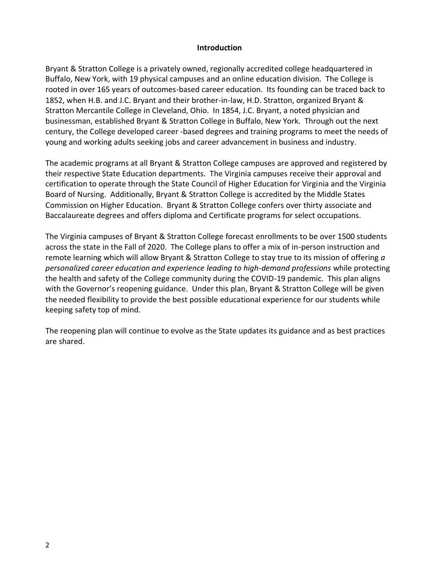#### **Introduction**

Bryant & Stratton College is a privately owned, regionally accredited college headquartered in Buffalo, New York, with 19 physical campuses and an online education division. The College is rooted in over 165 years of outcomes-based career education. Its founding can be traced back to 1852, when H.B. and J.C. Bryant and their brother-in-law, H.D. Stratton, organized Bryant & Stratton Mercantile College in Cleveland, Ohio. In 1854, J.C. Bryant, a noted physician and businessman, established Bryant & Stratton College in Buffalo, New York. Through out the next century, the College developed career -based degrees and training programs to meet the needs of young and working adults seeking jobs and career advancement in business and industry.

The academic programs at all Bryant & Stratton College campuses are approved and registered by their respective State Education departments. The Virginia campuses receive their approval and certification to operate through the State Council of Higher Education for Virginia and the Virginia Board of Nursing. Additionally, Bryant & Stratton College is accredited by the Middle States Commission on Higher Education. Bryant & Stratton College confers over thirty associate and Baccalaureate degrees and offers diploma and Certificate programs for select occupations.

The Virginia campuses of Bryant & Stratton College forecast enrollments to be over 1500 students across the state in the Fall of 2020. The College plans to offer a mix of in-person instruction and remote learning which will allow Bryant & Stratton College to stay true to its mission of offering *a personalized career education and experience leading to high-demand professions* while protecting the health and safety of the College community during the COVID-19 pandemic. This plan aligns with the Governor's reopening guidance. Under this plan, Bryant & Stratton College will be given the needed flexibility to provide the best possible educational experience for our students while keeping safety top of mind.

The reopening plan will continue to evolve as the State updates its guidance and as best practices are shared.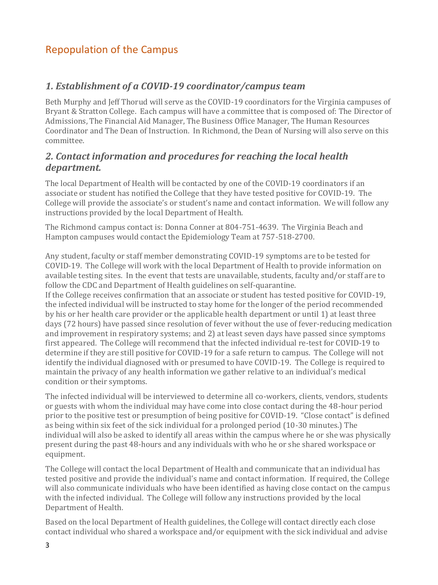# Repopulation of the Campus

### *1. Establishment of a COVID-19 coordinator/campus team*

Beth Murphy and Jeff Thorud will serve as the COVID-19 coordinators for the Virginia campuses of Bryant & Stratton College. Each campus will have a committee that is composed of: The Director of Admissions, The Financial Aid Manager, The Business Office Manager, The Human Resources Coordinator and The Dean of Instruction. In Richmond, the Dean of Nursing will also serve on this committee.

#### *2. Contact information and procedures for reaching the local health department.*

The local Department of Health will be contacted by one of the COVID-19 coordinators if an associate or student has notified the College that they have tested positive for COVID-19. The College will provide the associate's or student's name and contact information. We will follow any instructions provided by the local Department of Health.

The Richmond campus contact is: Donna Conner at 804-751-4639. The Virginia Beach and Hampton campuses would contact the Epidemiology Team at 757-518-2700.

Any student, faculty or staff member demonstrating COVID-19 symptoms are to be tested for COVID-19. The College will work with the local Department of Health to provide information on available testing sites. In the event that tests are unavailable, students, faculty and/or staff are to follow the CDC and Department of Health guidelines on self-quarantine.

If the College receives confirmation that an associate or student has tested positive for COVID-19, the infected individual will be instructed to stay home for the longer of the period recommended by his or her health care provider or the applicable health department or until 1) at least three days (72 hours) have passed since resolution of fever without the use of fever-reducing medication and improvement in respiratory systems; and 2) at least seven days have passed since symptoms first appeared. The College will recommend that the infected individual re-test for COVID-19 to determine if they are still positive for COVID-19 for a safe return to campus. The College will not identify the individual diagnosed with or presumed to have COVID-19. The College is required to maintain the privacy of any health information we gather relative to an individual's medical condition or their symptoms.

The infected individual will be interviewed to determine all co-workers, clients, vendors, students or guests with whom the individual may have come into close contact during the 48-hour period prior to the positive test or presumption of being positive for COVID-19. "Close contact" is defined as being within six feet of the sick individual for a prolonged period (10-30 minutes.) The individual will also be asked to identify all areas within the campus where he or she was physically present during the past 48-hours and any individuals with who he or she shared workspace or equipment.

The College will contact the local Department of Health and communicate that an individual has tested positive and provide the individual's name and contact information. If required, the College will also communicate individuals who have been identified as having close contact on the campus with the infected individual. The College will follow any instructions provided by the local Department of Health.

Based on the local Department of Health guidelines, the College will contact directly each close contact individual who shared a workspace and/or equipment with the sick individual and advise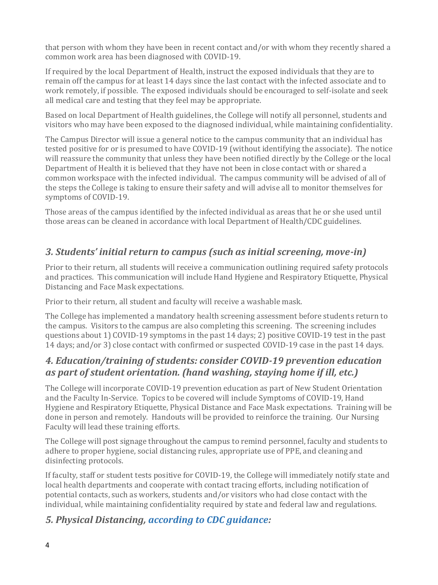that person with whom they have been in recent contact and/or with whom they recently shared a common work area has been diagnosed with COVID-19.

If required by the local Department of Health, instruct the exposed individuals that they are to remain off the campus for at least 14 days since the last contact with the infected associate and to work remotely, if possible. The exposed individuals should be encouraged to self-isolate and seek all medical care and testing that they feel may be appropriate.

Based on local Department of Health guidelines, the College will notify all personnel, students and visitors who may have been exposed to the diagnosed individual, while maintaining confidentiality.

The Campus Director will issue a general notice to the campus community that an individual has tested positive for or is presumed to have COVID-19 (without identifying the associate). The notice will reassure the community that unless they have been notified directly by the College or the local Department of Health it is believed that they have not been in close contact with or shared a common workspace with the infected individual. The campus community will be advised of all of the steps the College is taking to ensure their safety and will advise all to monitor themselves for symptoms of COVID-19.

Those areas of the campus identified by the infected individual as areas that he or she used until those areas can be cleaned in accordance with local Department of Health/CDC guidelines.

## *3. Students' initial return to campus (such as initial screening, move-in)*

Prior to their return, all students will receive a communication outlining required safety protocols and practices. This communication will include Hand Hygiene and Respiratory Etiquette, Physical Distancing and Face Mask expectations.

Prior to their return, all student and faculty will receive a washable mask.

The College has implemented a mandatory health screening assessment before students return to the campus. Visitors to the campus are also completing this screening. The screening includes questions about 1) COVID-19 symptoms in the past 14 days; 2) positive COVID-19 test in the past 14 days; and/or 3) close contact with confirmed or suspected COVID-19 case in the past 14 days.

### *4. Education/training of students: consider COVID-19 prevention education as part of student orientation. (hand washing, staying home if ill, etc.)*

The College will incorporate COVID-19 prevention education as part of New Student Orientation and the Faculty In-Service. Topics to be covered will include Symptoms of COVID-19, Hand Hygiene and Respiratory Etiquette, Physical Distance and Face Mask expectations. Training will be done in person and remotely. Handouts will be provided to reinforce the training. Our Nursing Faculty will lead these training efforts.

The College will post signage throughout the campus to remind personnel, faculty and students to adhere to proper hygiene, social distancing rules, appropriate use of PPE, and cleaning and disinfecting protocols.

If faculty, staff or student tests positive for COVID-19, the College will immediately notify state and local health departments and cooperate with contact tracing efforts, including notification of potential contacts, such as workers, students and/or visitors who had close contact with the individual, while maintaining confidentiality required by state and federal law and regulations.

### *5. Physical Distancing, according to CDC guidance:*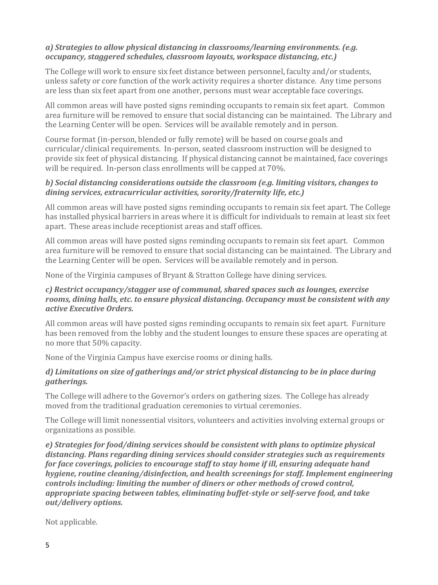#### *a) Strategies to allow physical distancing in classrooms/learning environments. (e.g. occupancy, staggered schedules, classroom layouts, workspace distancing, etc.)*

The College will work to ensure six feet distance between personnel, faculty and/or students, unless safety or core function of the work activity requires a shorter distance. Any time persons are less than six feet apart from one another, persons must wear acceptable face coverings.

All common areas will have posted signs reminding occupants to remain six feet apart. Common area furniture will be removed to ensure that social distancing can be maintained. The Library and the Learning Center will be open. Services will be available remotely and in person.

Course format (in-person, blended or fully remote) will be based on course goals and curricular/clinical requirements. In-person, seated classroom instruction will be designed to provide six feet of physical distancing. If physical distancing cannot be maintained, face coverings will be required. In-person class enrollments will be capped at 70%.

#### *b) Social distancing considerations outside the classroom (e.g. limiting visitors, changes to dining services, extracurricular activities, sorority/fraternity life, etc.)*

All common areas will have posted signs reminding occupants to remain six feet apart. The College has installed physical barriers in areas where it is difficult for individuals to remain at least six feet apart. These areas include receptionist areas and staff offices.

All common areas will have posted signs reminding occupants to remain six feet apart. Common area furniture will be removed to ensure that social distancing can be maintained. The Library and the Learning Center will be open. Services will be available remotely and in person.

None of the Virginia campuses of Bryant & Stratton College have dining services.

#### *c) Restrict occupancy/stagger use of communal, shared spaces such as lounges, exercise rooms, dining halls, etc. to ensure physical distancing. Occupancy must be consistent with any active Executive Orders.*

All common areas will have posted signs reminding occupants to remain six feet apart. Furniture has been removed from the lobby and the student lounges to ensure these spaces are operating at no more that 50% capacity.

None of the Virginia Campus have exercise rooms or dining halls.

#### *d) Limitations on size of gatherings and/or strict physical distancing to be in place during gatherings.*

The College will adhere to the Governor's orders on gathering sizes. The College has already moved from the traditional graduation ceremonies to virtual ceremonies.

The College will limit nonessential visitors, volunteers and activities involving external groups or organizations as possible.

*e) Strategies for food/dining services should be consistent with plans to optimize physical distancing. Plans regarding dining services should consider strategies such as requirements for face coverings, policies to encourage staff to stay home if ill, ensuring adequate hand hygiene, routine cleaning/disinfection, and health screenings for staff. Implement engineering controls including: limiting the number of diners or other methods of crowd control, appropriate spacing between tables, eliminating buffet-style or self-serve food, and take out/delivery options.* 

Not applicable.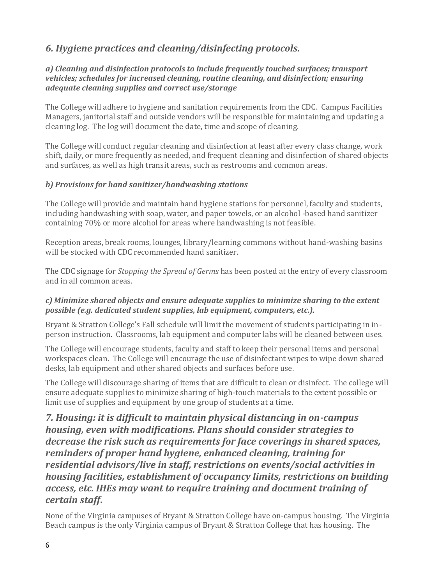## *6. Hygiene practices and cleaning/disinfecting protocols.*

#### *a) Cleaning and disinfection protocols to include frequently touched surfaces; transport vehicles; schedules for increased cleaning, routine cleaning, and disinfection; ensuring adequate cleaning supplies and correct use/storage*

The College will adhere to hygiene and sanitation requirements from the CDC. Campus Facilities Managers, janitorial staff and outside vendors will be responsible for maintaining and updating a cleaning log. The log will document the date, time and scope of cleaning.

The College will conduct regular cleaning and disinfection at least after every class change, work shift, daily, or more frequently as needed, and frequent cleaning and disinfection of shared objects and surfaces, as well as high transit areas, such as restrooms and common areas.

#### *b) Provisions for hand sanitizer/handwashing stations*

The College will provide and maintain hand hygiene stations for personnel, faculty and students, including handwashing with soap, water, and paper towels, or an alcohol -based hand sanitizer containing 70% or more alcohol for areas where handwashing is not feasible.

Reception areas, break rooms, lounges, library/learning commons without hand-washing basins will be stocked with CDC recommended hand sanitizer.

The CDC signage for *Stopping the Spread of Germs* has been posted at the entry of every classroom and in all common areas.

#### *c) Minimize shared objects and ensure adequate supplies to minimize sharing to the extent possible (e.g. dedicated student supplies, lab equipment, computers, etc.).*

Bryant & Stratton College's Fall schedule will limit the movement of students participating in inperson instruction. Classrooms, lab equipment and computer labs will be cleaned between uses.

The College will encourage students, faculty and staff to keep their personal items and personal workspaces clean. The College will encourage the use of disinfectant wipes to wipe down shared desks, lab equipment and other shared objects and surfaces before use.

The College will discourage sharing of items that are difficult to clean or disinfect. The college will ensure adequate supplies to minimize sharing of high-touch materials to the extent possible or limit use of supplies and equipment by one group of students at a time.

### *7. Housing: it is difficult to maintain physical distancing in on-campus housing, even with modifications. Plans should consider strategies to decrease the risk such as requirements for face coverings in shared spaces, reminders of proper hand hygiene, enhanced cleaning, training for residential advisors/live in staff, restrictions on events/social activities in housing facilities, establishment of occupancy limits, restrictions on building access, etc. IHEs may want to require training and document training of certain staff***.**

None of the Virginia campuses of Bryant & Stratton College have on-campus housing. The Virginia Beach campus is the only Virginia campus of Bryant & Stratton College that has housing. The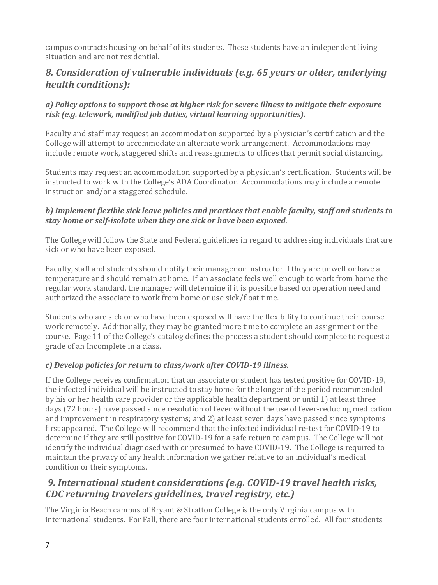campus contracts housing on behalf of its students. These students have an independent living situation and are not residential.

### *8. Consideration of vulnerable individuals (e.g. 65 years or older, underlying health conditions):*

#### *a) Policy options to support those at higher risk for severe illness to mitigate their exposure risk (e.g. telework, modified job duties, virtual learning opportunities).*

Faculty and staff may request an accommodation supported by a physician's certification and the College will attempt to accommodate an alternate work arrangement. Accommodations may include remote work, staggered shifts and reassignments to offices that permit social distancing.

Students may request an accommodation supported by a physician's certification. Students will be instructed to work with the College's ADA Coordinator. Accommodations may include a remote instruction and/or a staggered schedule.

#### *b) Implement flexible sick leave policies and practices that enable faculty, staff and students to stay home or self-isolate when they are sick or have been exposed.*

The College will follow the State and Federal guidelines in regard to addressing individuals that are sick or who have been exposed.

Faculty, staff and students should notify their manager or instructor if they are unwell or have a temperature and should remain at home. If an associate feels well enough to work from home the regular work standard, the manager will determine if it is possible based on operation need and authorized the associate to work from home or use sick/float time.

Students who are sick or who have been exposed will have the flexibility to continue their course work remotely. Additionally, they may be granted more time to complete an assignment or the course. Page 11 of the College's catalog defines the process a student should complete to request a grade of an Incomplete in a class.

#### *c) Develop policies for return to class/work after COVID-19 illness.*

If the College receives confirmation that an associate or student has tested positive for COVID-19, the infected individual will be instructed to stay home for the longer of the period recommended by his or her health care provider or the applicable health department or until 1) at least three days (72 hours) have passed since resolution of fever without the use of fever-reducing medication and improvement in respiratory systems; and 2) at least seven days have passed since symptoms first appeared. The College will recommend that the infected individual re-test for COVID-19 to determine if they are still positive for COVID-19 for a safe return to campus. The College will not identify the individual diagnosed with or presumed to have COVID-19. The College is required to maintain the privacy of any health information we gather relative to an individual's medical condition or their symptoms.

### *9. International student considerations (e.g. COVID-19 travel health risks, CDC returning travelers guidelines, travel registry, etc.)*

The Virginia Beach campus of Bryant & Stratton College is the only Virginia campus with international students. For Fall, there are four international students enrolled. All four students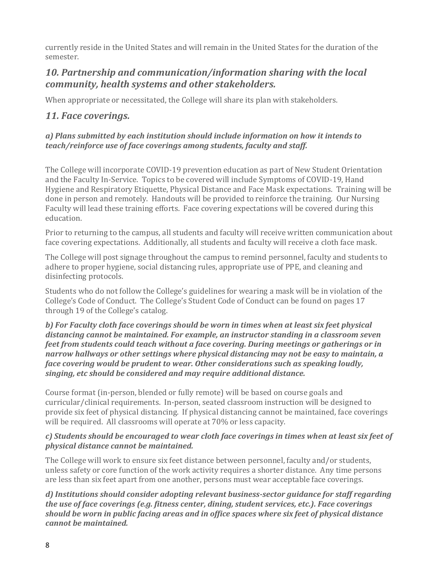currently reside in the United States and will remain in the United States for the duration of the semester.

### *10. Partnership and communication/information sharing with the local community, health systems and other stakeholders.*

When appropriate or necessitated, the College will share its plan with stakeholders.

### *11. Face coverings.*

#### *a) Plans submitted by each institution should include information on how it intends to teach/reinforce use of face coverings among students, faculty and staff.*

The College will incorporate COVID-19 prevention education as part of New Student Orientation and the Faculty In-Service. Topics to be covered will include Symptoms of COVID-19, Hand Hygiene and Respiratory Etiquette, Physical Distance and Face Mask expectations. Training will be done in person and remotely. Handouts will be provided to reinforce the training. Our Nursing Faculty will lead these training efforts. Face covering expectations will be covered during this education.

Prior to returning to the campus, all students and faculty will receive written communication about face covering expectations. Additionally, all students and faculty will receive a cloth face mask.

The College will post signage throughout the campus to remind personnel, faculty and students to adhere to proper hygiene, social distancing rules, appropriate use of PPE, and cleaning and disinfecting protocols.

Students who do not follow the College's guidelines for wearing a mask will be in violation of the College's Code of Conduct. The College's Student Code of Conduct can be found on pages 17 through 19 of the College's catalog.

#### *b) For Faculty cloth face coverings should be worn in times when at least six feet physical distancing cannot be maintained. For example, an instructor standing in a classroom seven feet from students could teach without a face covering. During meetings or gatherings or in narrow hallways or other settings where physical distancing may not be easy to maintain, a face covering would be prudent to wear. Other considerations such as speaking loudly, singing, etc should be considered and may require additional distance.*

Course format (in-person, blended or fully remote) will be based on course goals and curricular/clinical requirements. In-person, seated classroom instruction will be designed to provide six feet of physical distancing. If physical distancing cannot be maintained, face coverings will be required. All classrooms will operate at 70% or less capacity.

#### *c) Students should be encouraged to wear cloth face coverings in times when at least six feet of physical distance cannot be maintained.*

The College will work to ensure six feet distance between personnel, faculty and/or students, unless safety or core function of the work activity requires a shorter distance. Any time persons are less than six feet apart from one another, persons must wear acceptable face coverings.

*d) Institutions should consider adopting relevant business-sector guidance for staff regarding the use of face coverings (e.g. fitness center, dining, student services, etc.). Face coverings should be worn in public facing areas and in office spaces where six feet of physical distance cannot be maintained.*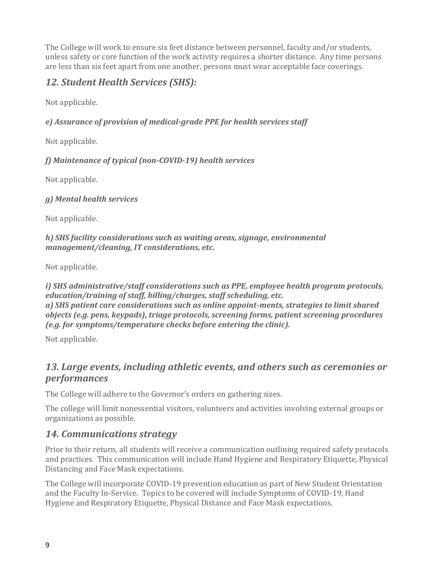The College will work to ensure six feet distance between personnel, faculty and/or students, unless safety or core function of the work activity requires a shorter distance. Any time persons are less than six feet apart from one another, persons must wear acceptable face coverings.

## *12. Student Health Services (SHS):*

Not applicable.

*e) Assurance of provision of medical-grade PPE for health services staff* 

Not applicable.

*f) Maintenance of typical (non-COVID-19) health services* 

Not applicable.

*g) Mental health services* 

Not applicable.

*h) SHS facility considerations such as waiting areas, signage, environmental management/cleaning, IT considerations, etc.* 

Not applicable.

*i) SHS administrative/staff considerations such as PPE, employee health program protocols, education/training of staff, billing/charges, staff scheduling, etc. a) SHS patient care considerations such as online appoint-ments, strategies to limit shared objects (e.g. pens, keypads), triage protocols, screening forms, patient screening procedures (e.g. for symptoms/temperature checks before entering the clinic).* 

Not applicable.

### *13. Large events, including athletic events, and others such as ceremonies or performances*

The College will adhere to the Governor's orders on gathering sizes.

The college will limit nonessential visitors, volunteers and activities involving external groups or organizations as possible.

### *14. Communications strategy*

Prior to their return, all students will receive a communication outlining required safety protocols and practices. This communication will include Hand Hygiene and Respiratory Etiquette, Physical Distancing and Face Mask expectations.

The College will incorporate COVID-19 prevention education as part of New Student Orientation and the Faculty In-Service. Topics to be covered will include Symptoms of COVID-19, Hand Hygiene and Respiratory Etiquette, Physical Distance and Face Mask expectations.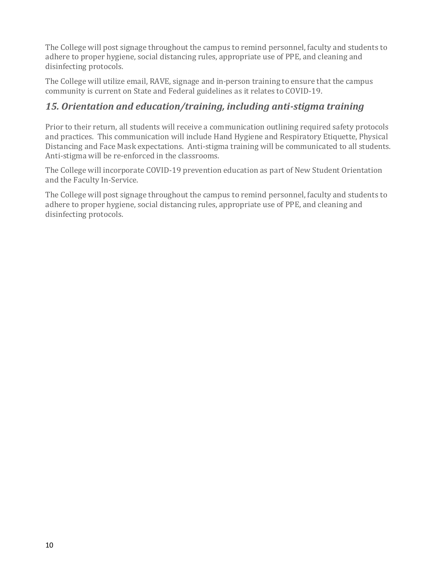The College will post signage throughout the campus to remind personnel, faculty and students to adhere to proper hygiene, social distancing rules, appropriate use of PPE, and cleaning and disinfecting protocols.

The College will utilize email, RAVE, signage and in-person training to ensure that the campus community is current on State and Federal guidelines as it relates to COVID-19.

### *15. Orientation and education/training, including anti-stigma training*

Prior to their return, all students will receive a communication outlining required safety protocols and practices. This communication will include Hand Hygiene and Respiratory Etiquette, Physical Distancing and Face Mask expectations. Anti-stigma training will be communicated to all students. Anti-stigma will be re-enforced in the classrooms.

The College will incorporate COVID-19 prevention education as part of New Student Orientation and the Faculty In-Service.

The College will post signage throughout the campus to remind personnel, faculty and students to adhere to proper hygiene, social distancing rules, appropriate use of PPE, and cleaning and disinfecting protocols.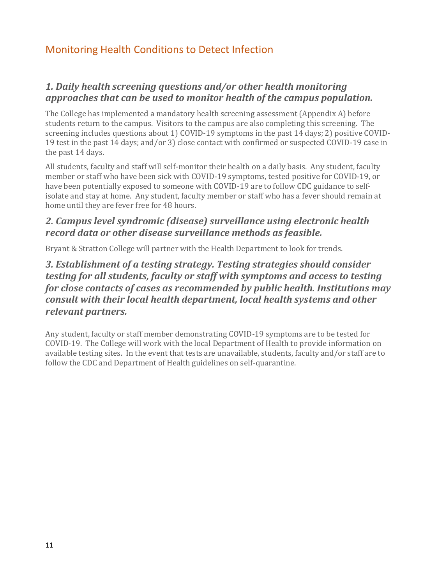## Monitoring Health Conditions to Detect Infection

### *1. Daily health screening questions and/or other health monitoring approaches that can be used to monitor health of the campus population.*

The College has implemented a mandatory health screening assessment (Appendix A) before students return to the campus. Visitors to the campus are also completing this screening. The screening includes questions about 1) COVID-19 symptoms in the past 14 days; 2) positive COVID-19 test in the past 14 days; and/or 3) close contact with confirmed or suspected COVID-19 case in the past 14 days.

All students, faculty and staff will self-monitor their health on a daily basis. Any student, faculty member or staff who have been sick with COVID-19 symptoms, tested positive for COVID-19, or have been potentially exposed to someone with COVID-19 are to follow CDC guidance to selfisolate and stay at home. Any student, faculty member or staff who has a fever should remain at home until they are fever free for 48 hours.

### *2. Campus level syndromic (disease) surveillance using electronic health record data or other disease surveillance methods as feasible.*

Bryant & Stratton College will partner with the Health Department to look for trends.

### *3. Establishment of a testing strategy. Testing strategies should consider testing for all students, faculty or staff with symptoms and access to testing for close contacts of cases as recommended by public health. Institutions may consult with their local health department, local health systems and other relevant partners.*

Any student, faculty or staff member demonstrating COVID-19 symptoms are to be tested for COVID-19. The College will work with the local Department of Health to provide information on available testing sites. In the event that tests are unavailable, students, faculty and/or staff are to follow the CDC and Department of Health guidelines on self-quarantine.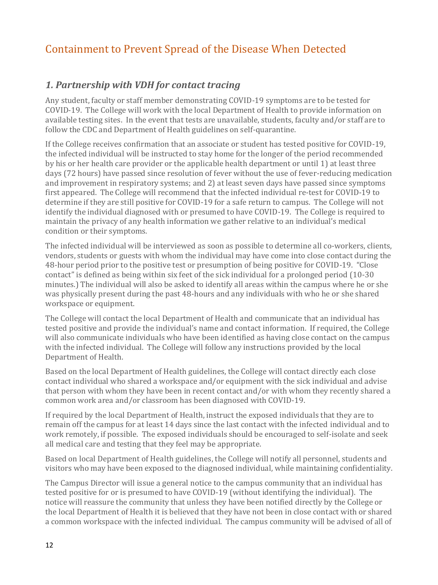# Containment to Prevent Spread of the Disease When Detected

#### *1. Partnership with VDH for contact tracing*

Any student, faculty or staff member demonstrating COVID-19 symptoms are to be tested for COVID-19. The College will work with the local Department of Health to provide information on available testing sites. In the event that tests are unavailable, students, faculty and/or staff are to follow the CDC and Department of Health guidelines on self-quarantine.

If the College receives confirmation that an associate or student has tested positive for COVID-19, the infected individual will be instructed to stay home for the longer of the period recommended by his or her health care provider or the applicable health department or until 1) at least three days (72 hours) have passed since resolution of fever without the use of fever-reducing medication and improvement in respiratory systems; and 2) at least seven days have passed since symptoms first appeared. The College will recommend that the infected individual re-test for COVID-19 to determine if they are still positive for COVID-19 for a safe return to campus. The College will not identify the individual diagnosed with or presumed to have COVID-19. The College is required to maintain the privacy of any health information we gather relative to an individual's medical condition or their symptoms.

The infected individual will be interviewed as soon as possible to determine all co-workers, clients, vendors, students or guests with whom the individual may have come into close contact during the 48-hour period prior to the positive test or presumption of being positive for COVID-19. "Close contact" is defined as being within six feet of the sick individual for a prolonged period (10-30 minutes.) The individual will also be asked to identify all areas within the campus where he or she was physically present during the past 48-hours and any individuals with who he or she shared workspace or equipment.

The College will contact the local Department of Health and communicate that an individual has tested positive and provide the individual's name and contact information. If required, the College will also communicate individuals who have been identified as having close contact on the campus with the infected individual. The College will follow any instructions provided by the local Department of Health.

Based on the local Department of Health guidelines, the College will contact directly each close contact individual who shared a workspace and/or equipment with the sick individual and advise that person with whom they have been in recent contact and/or with whom they recently shared a common work area and/or classroom has been diagnosed with COVID-19.

If required by the local Department of Health, instruct the exposed individuals that they are to remain off the campus for at least 14 days since the last contact with the infected individual and to work remotely, if possible. The exposed individuals should be encouraged to self-isolate and seek all medical care and testing that they feel may be appropriate.

Based on local Department of Health guidelines, the College will notify all personnel, students and visitors who may have been exposed to the diagnosed individual, while maintaining confidentiality.

The Campus Director will issue a general notice to the campus community that an individual has tested positive for or is presumed to have COVID-19 (without identifying the individual). The notice will reassure the community that unless they have been notified directly by the College or the local Department of Health it is believed that they have not been in close contact with or shared a common workspace with the infected individual. The campus community will be advised of all of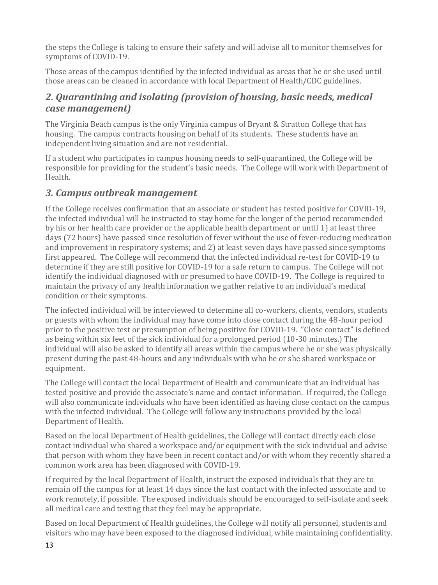the steps the College is taking to ensure their safety and will advise all to monitor themselves for symptoms of COVID-19.

Those areas of the campus identified by the infected individual as areas that he or she used until those areas can be cleaned in accordance with local Department of Health/CDC guidelines.

### *2. Quarantining and isolating (provision of housing, basic needs, medical case management)*

The Virginia Beach campus is the only Virginia campus of Bryant & Stratton College that has housing. The campus contracts housing on behalf of its students. These students have an independent living situation and are not residential.

If a student who participates in campus housing needs to self-quarantined, the College will be responsible for providing for the student's basic needs. The College will work with Department of Health.

### *3. Campus outbreak management*

If the College receives confirmation that an associate or student has tested positive for COVID-19, the infected individual will be instructed to stay home for the longer of the period recommended by his or her health care provider or the applicable health department or until 1) at least three days (72 hours) have passed since resolution of fever without the use of fever-reducing medication and improvement in respiratory systems; and 2) at least seven days have passed since symptoms first appeared. The College will recommend that the infected individual re-test for COVID-19 to determine if they are still positive for COVID-19 for a safe return to campus. The College will not identify the individual diagnosed with or presumed to have COVID-19. The College is required to maintain the privacy of any health information we gather relative to an individual's medical condition or their symptoms.

The infected individual will be interviewed to determine all co-workers, clients, vendors, students or guests with whom the individual may have come into close contact during the 48-hour period prior to the positive test or presumption of being positive for COVID-19. "Close contact" is defined as being within six feet of the sick individual for a prolonged period (10-30 minutes.) The individual will also be asked to identify all areas within the campus where he or she was physically present during the past 48-hours and any individuals with who he or she shared workspace or equipment.

The College will contact the local Department of Health and communicate that an individual has tested positive and provide the associate's name and contact information. If required, the College will also communicate individuals who have been identified as having close contact on the campus with the infected individual. The College will follow any instructions provided by the local Department of Health.

Based on the local Department of Health guidelines, the College will contact directly each close contact individual who shared a workspace and/or equipment with the sick individual and advise that person with whom they have been in recent contact and/or with whom they recently shared a common work area has been diagnosed with COVID-19.

If required by the local Department of Health, instruct the exposed individuals that they are to remain off the campus for at least 14 days since the last contact with the infected associate and to work remotely, if possible. The exposed individuals should be encouraged to self-isolate and seek all medical care and testing that they feel may be appropriate.

Based on local Department of Health guidelines, the College will notify all personnel, students and visitors who may have been exposed to the diagnosed individual, while maintaining confidentiality.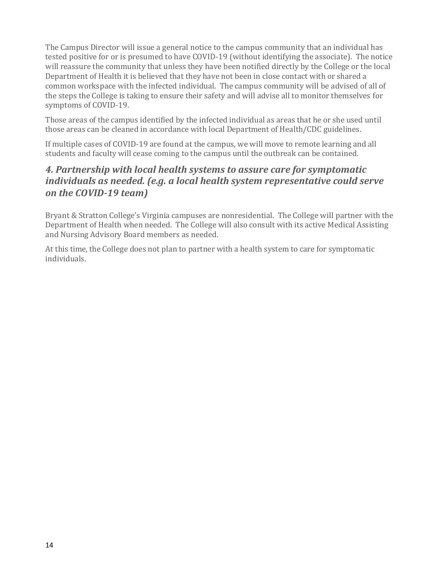The Campus Director will issue a general notice to the campus community that an individual has tested positive for or is presumed to have COVID-19 (without identifying the associate). The notice will reassure the community that unless they have been notified directly by the College or the local Department of Health it is believed that they have not been in close contact with or shared a common workspace with the infected individual. The campus community will be advised of all of the steps the College is taking to ensure their safety and will advise all to monitor themselves for symptoms of COVID-19.

Those areas of the campus identified by the infected individual as areas that he or she used until those areas can be cleaned in accordance with local Department of Health/CDC guidelines.

If multiple cases of COVID-19 are found at the campus, we will move to remote learning and all students and faculty will cease coming to the campus until the outbreak can be contained.

### *4. Partnership with local health systems to assure care for symptomatic individuals as needed. (e.g. a local health system representative could serve on the COVID-19 team)*

Bryant & Stratton College's Virginia campuses are nonresidential. The College will partner with the Department of Health when needed. The College will also consult with its active Medical Assisting and Nursing Advisory Board members as needed.

At this time, the College does not plan to partner with a health system to care for symptomatic individuals.